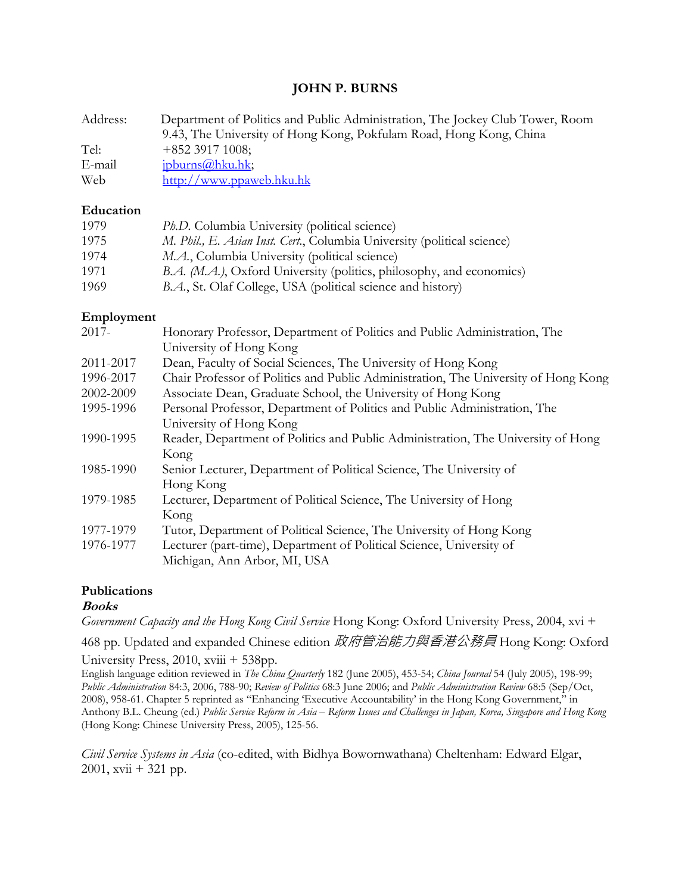# **JOHN P. BURNS**

| Address: | Department of Politics and Public Administration, The Jockey Club Tower, Room |
|----------|-------------------------------------------------------------------------------|
|          | 9.43, The University of Hong Kong, Pokfulam Road, Hong Kong, China            |
| Tel:     | $+852$ 3917 1008;                                                             |
| E-mail   | jpburns@hku.hk;                                                               |
| Web      | http://www.ppaweb.hku.hk                                                      |

#### **Education**

| 1979 | Ph.D. Columbia University (political science)                           |
|------|-------------------------------------------------------------------------|
| 1975 | M. Phil., E. Asian Inst. Cert., Columbia University (political science) |
| 1974 | <i>M.A.</i> , Columbia University (political science)                   |
| 1971 | B.A. (M.A.), Oxford University (politics, philosophy, and economics)    |
| 1969 | B.A., St. Olaf College, USA (political science and history)             |

### **Employment**

| $2017 -$  | Honorary Professor, Department of Politics and Public Administration, The          |
|-----------|------------------------------------------------------------------------------------|
|           | University of Hong Kong                                                            |
| 2011-2017 | Dean, Faculty of Social Sciences, The University of Hong Kong                      |
| 1996-2017 | Chair Professor of Politics and Public Administration, The University of Hong Kong |
| 2002-2009 | Associate Dean, Graduate School, the University of Hong Kong                       |
| 1995-1996 | Personal Professor, Department of Politics and Public Administration, The          |
|           | University of Hong Kong                                                            |
| 1990-1995 | Reader, Department of Politics and Public Administration, The University of Hong   |
|           | Kong                                                                               |
| 1985-1990 | Senior Lecturer, Department of Political Science, The University of                |
|           | Hong Kong                                                                          |
| 1979-1985 | Lecturer, Department of Political Science, The University of Hong                  |
|           | Kong                                                                               |
| 1977-1979 | Tutor, Department of Political Science, The University of Hong Kong                |
| 1976-1977 | Lecturer (part-time), Department of Political Science, University of               |
|           | Michigan, Ann Arbor, MI, USA                                                       |

# **Publications**

#### **Books**

*Government Capacity and the Hong Kong Civil Service* Hong Kong: Oxford University Press, 2004, xvi +

468 pp. Updated and expanded Chinese edition 政府管治能力與香港公務員 Hong Kong: Oxford University Press, 2010, xviii + 538pp.

English language edition reviewed in *The China Quarterly* 182 (June 2005), 453-54; *China Journal* 54 (July 2005), 198-99; *Public Administration* 84:3, 2006, 788-90; *Review of Politics* 68:3 June 2006; and *Public Administration Review* 68:5 (Sep/Oct, 2008), 958-61. Chapter 5 reprinted as "Enhancing 'Executive Accountability' in the Hong Kong Government," in Anthony B.L. Cheung (ed.) *Public Service Reform in Asia – Reform Issues and Challenges in Japan, Korea, Singapore and Hong Kong*  (Hong Kong: Chinese University Press, 2005), 125-56.

*Civil Service Systems in Asia* (co-edited, with Bidhya Bowornwathana) Cheltenham: Edward Elgar,  $2001$ , xvii + 321 pp.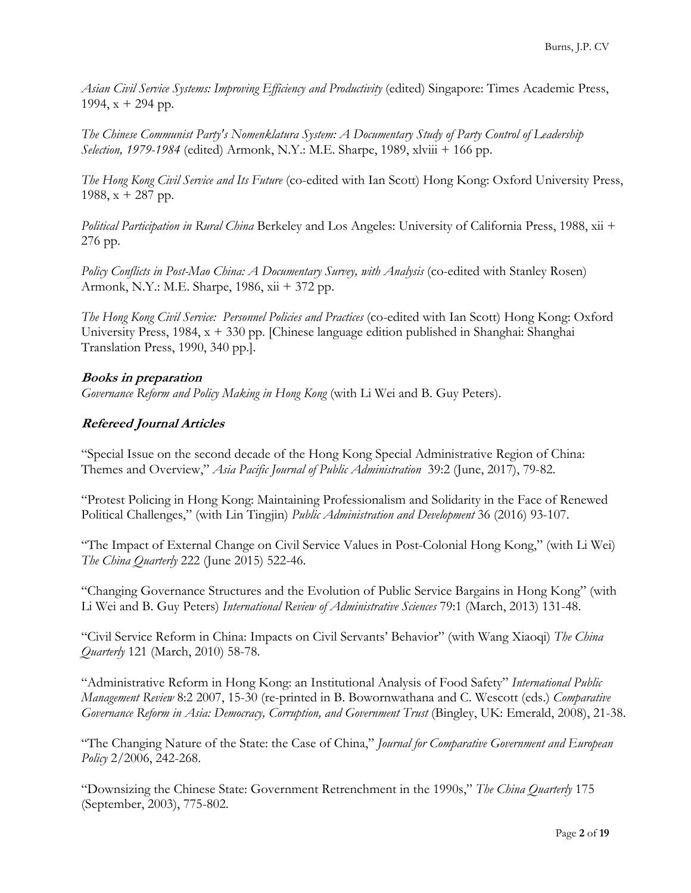*Asian Civil Service Systems: Improving Efficiency and Productivity* (edited) Singapore: Times Academic Press, 1994,  $x + 294$  pp.

*The Chinese Communist Party's Nomenklatura System: A Documentary Study of Party Control of Leadership Selection, 1979-1984* (edited) Armonk, N.Y.: M.E. Sharpe, 1989, xlviii + 166 pp.

*The Hong Kong Civil Service and Its Future* (co-edited with Ian Scott) Hong Kong: Oxford University Press, 1988,  $x + 287$  pp.

*Political Participation in Rural China* Berkeley and Los Angeles: University of California Press, 1988, xii + 276 pp.

*Policy Conflicts in Post-Mao China: A Documentary Survey, with Analysis* (co-edited with Stanley Rosen) Armonk, N.Y.: M.E. Sharpe, 1986, xii + 372 pp.

*The Hong Kong Civil Service: Personnel Policies and Practices* (co-edited with Ian Scott) Hong Kong: Oxford University Press, 1984, x + 330 pp. [Chinese language edition published in Shanghai: Shanghai Translation Press, 1990, 340 pp.].

# **Books in preparation**

*Governance Reform and Policy Making in Hong Kong* (with Li Wei and B. Guy Peters).

### **Refereed Journal Articles**

"Special Issue on the second decade of the Hong Kong Special Administrative Region of China: Themes and Overview," *Asia Pacific Journal of Public Administration* 39:2 (June, 2017), 79-82.

"Protest Policing in Hong Kong: Maintaining Professionalism and Solidarity in the Face of Renewed Political Challenges," (with Lin Tingjin) *Public Administration and Development* 36 (2016) 93-107.

"The Impact of External Change on Civil Service Values in Post-Colonial Hong Kong," (with Li Wei) *The China Quarterly* 222 (June 2015) 522-46.

"Changing Governance Structures and the Evolution of Public Service Bargains in Hong Kong" (with Li Wei and B. Guy Peters) *International Review of Administrative Sciences* 79:1 (March, 2013) 131-48.

"Civil Service Reform in China: Impacts on Civil Servants' Behavior" (with Wang Xiaoqi) *The China Quarterly* 121 (March, 2010) 58-78.

"Administrative Reform in Hong Kong: an Institutional Analysis of Food Safety" *International Public Management Review* 8:2 2007, 15-30 (re-printed in B. Bowornwathana and C. Wescott (eds.) *Comparative Governance Reform in Asia: Democracy, Corruption, and Government Trust* (Bingley, UK: Emerald, 2008), 21-38.

"The Changing Nature of the State: the Case of China," *Journal for Comparative Government and European Policy* 2/2006, 242-268.

"Downsizing the Chinese State: Government Retrenchment in the 1990s," *The China Quarterly* 175 (September, 2003), 775-802.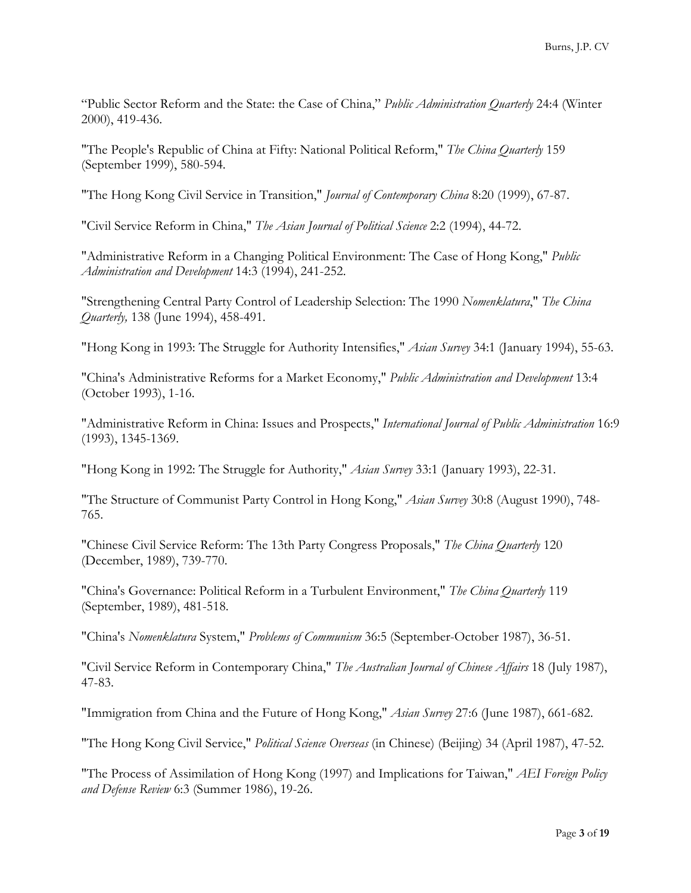"Public Sector Reform and the State: the Case of China," *Public Administration Quarterly* 24:4 (Winter 2000), 419-436.

"The People's Republic of China at Fifty: National Political Reform," *The China Quarterly* 159 (September 1999), 580-594.

"The Hong Kong Civil Service in Transition," *Journal of Contemporary China* 8:20 (1999), 67-87.

"Civil Service Reform in China," *The Asian Journal of Political Science* 2:2 (1994), 44-72.

"Administrative Reform in a Changing Political Environment: The Case of Hong Kong," *Public Administration and Development* 14:3 (1994), 241-252.

"Strengthening Central Party Control of Leadership Selection: The 1990 *Nomenklatura*," *The China Quarterly,* 138 (June 1994), 458-491.

"Hong Kong in 1993: The Struggle for Authority Intensifies," *Asian Survey* 34:1 (January 1994), 55-63.

"China's Administrative Reforms for a Market Economy," *Public Administration and Development* 13:4 (October 1993), 1-16.

"Administrative Reform in China: Issues and Prospects," *International Journal of Public Administration* 16:9 (1993), 1345-1369.

"Hong Kong in 1992: The Struggle for Authority," *Asian Survey* 33:1 (January 1993), 22-31.

"The Structure of Communist Party Control in Hong Kong," *Asian Survey* 30:8 (August 1990), 748- 765.

"Chinese Civil Service Reform: The 13th Party Congress Proposals," *The China Quarterly* 120 (December, 1989), 739-770.

"China's Governance: Political Reform in a Turbulent Environment," *The China Quarterly* 119 (September, 1989), 481-518.

"China's *Nomenklatura* System," *Problems of Communism* 36:5 (September-October 1987), 36-51.

"Civil Service Reform in Contemporary China," *The Australian Journal of Chinese Affairs* 18 (July 1987), 47-83.

"Immigration from China and the Future of Hong Kong," *Asian Survey* 27:6 (June 1987), 661-682.

"The Hong Kong Civil Service," *Political Science Overseas* (in Chinese) (Beijing) 34 (April 1987), 47-52.

"The Process of Assimilation of Hong Kong (1997) and Implications for Taiwan," *AEI Foreign Policy and Defense Review* 6:3 (Summer 1986), 19-26.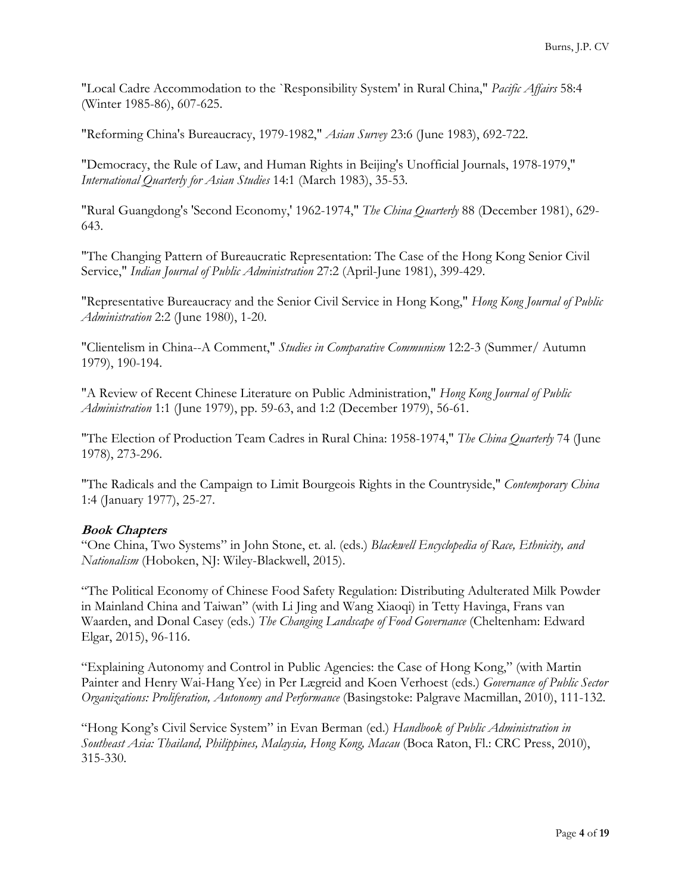"Local Cadre Accommodation to the `Responsibility System' in Rural China," *Pacific Affairs* 58:4 (Winter 1985-86), 607-625.

"Reforming China's Bureaucracy, 1979-1982," *Asian Survey* 23:6 (June 1983), 692-722.

"Democracy, the Rule of Law, and Human Rights in Beijing's Unofficial Journals, 1978-1979," *International Quarterly for Asian Studies* 14:1 (March 1983), 35-53.

"Rural Guangdong's 'Second Economy,' 1962-1974," *The China Quarterly* 88 (December 1981), 629- 643.

"The Changing Pattern of Bureaucratic Representation: The Case of the Hong Kong Senior Civil Service," *Indian Journal of Public Administration* 27:2 (April-June 1981), 399-429.

"Representative Bureaucracy and the Senior Civil Service in Hong Kong," *Hong Kong Journal of Public Administration* 2:2 (June 1980), 1-20.

"Clientelism in China--A Comment," *Studies in Comparative Communism* 12:2-3 (Summer/ Autumn 1979), 190-194.

"A Review of Recent Chinese Literature on Public Administration," *Hong Kong Journal of Public Administration* 1:1 (June 1979), pp. 59-63, and 1:2 (December 1979), 56-61.

"The Election of Production Team Cadres in Rural China: 1958-1974," *The China Quarterly* 74 (June 1978), 273-296.

"The Radicals and the Campaign to Limit Bourgeois Rights in the Countryside," *Contemporary China* 1:4 (January 1977), 25-27.

# **Book Chapters**

"One China, Two Systems" in John Stone, et. al. (eds.) *Blackwell Encyclopedia of Race, Ethnicity, and Nationalism* (Hoboken, NJ: Wiley-Blackwell, 2015).

"The Political Economy of Chinese Food Safety Regulation: Distributing Adulterated Milk Powder in Mainland China and Taiwan" (with Li Jing and Wang Xiaoqi) in Tetty Havinga, Frans van Waarden, and Donal Casey (eds.) *The Changing Landscape of Food Governance* (Cheltenham: Edward Elgar, 2015), 96-116.

"Explaining Autonomy and Control in Public Agencies: the Case of Hong Kong," (with Martin Painter and Henry Wai-Hang Yee) in Per Lægreid and Koen Verhoest (eds.) *Governance of Public Sector Organizations: Proliferation, Autonomy and Performance* (Basingstoke: Palgrave Macmillan, 2010), 111-132.

"Hong Kong's Civil Service System" in Evan Berman (ed.) *Handbook of Public Administration in Southeast Asia: Thailand, Philippines, Malaysia, Hong Kong, Macau* (Boca Raton, Fl.: CRC Press, 2010), 315-330.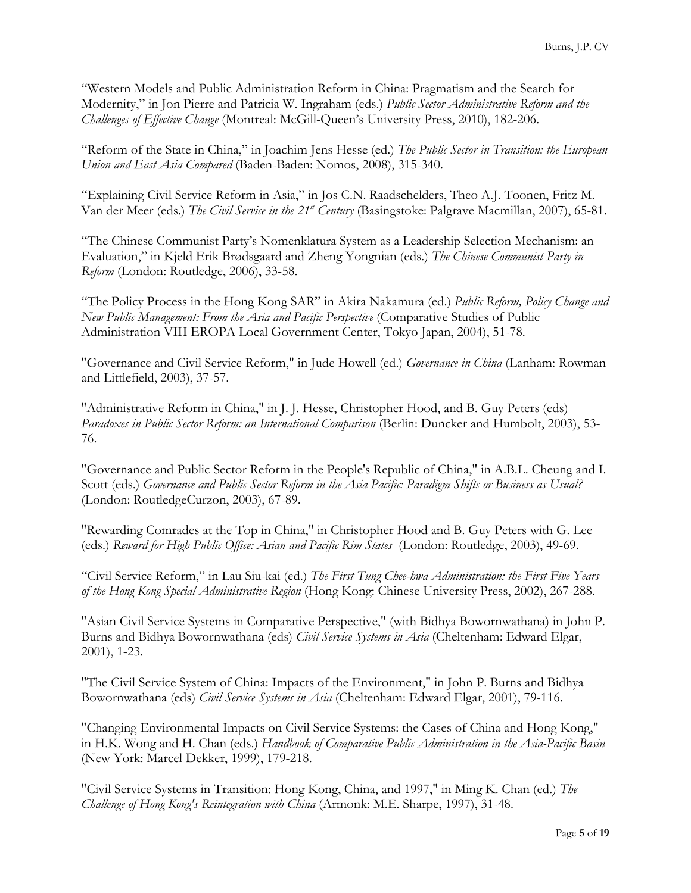"Western Models and Public Administration Reform in China: Pragmatism and the Search for Modernity," in Jon Pierre and Patricia W. Ingraham (eds.) *Public Sector Administrative Reform and the Challenges of Effective Change* (Montreal: McGill-Queen's University Press, 2010), 182-206.

"Reform of the State in China," in Joachim Jens Hesse (ed.) *The Public Sector in Transition: the European Union and East Asia Compared* (Baden-Baden: Nomos, 2008), 315-340.

"Explaining Civil Service Reform in Asia," in Jos C.N. Raadschelders, Theo A.J. Toonen, Fritz M. Van der Meer (eds.) *The Civil Service in the 21st Century* (Basingstoke: Palgrave Macmillan, 2007), 65-81.

"The Chinese Communist Party's Nomenklatura System as a Leadership Selection Mechanism: an Evaluation," in Kjeld Erik Brødsgaard and Zheng Yongnian (eds.) *The Chinese Communist Party in Reform* (London: Routledge, 2006), 33-58.

"The Policy Process in the Hong Kong SAR" in Akira Nakamura (ed.) *Public Reform, Policy Change and New Public Management: From the Asia and Pacific Perspective* (Comparative Studies of Public Administration VIII EROPA Local Government Center, Tokyo Japan, 2004), 51-78.

"Governance and Civil Service Reform," in Jude Howell (ed.) *Governance in China* (Lanham: Rowman and Littlefield, 2003), 37-57.

"Administrative Reform in China," in J. J. Hesse, Christopher Hood, and B. Guy Peters (eds) *Paradoxes in Public Sector Reform: an International Comparison* (Berlin: Duncker and Humbolt, 2003), 53- 76.

"Governance and Public Sector Reform in the People's Republic of China," in A.B.L. Cheung and I. Scott (eds.) *Governance and Public Sector Reform in the Asia Pacific: Paradigm Shifts or Business as Usual?* (London: RoutledgeCurzon, 2003), 67-89.

"Rewarding Comrades at the Top in China," in Christopher Hood and B. Guy Peters with G. Lee (eds.) *Reward for High Public Office: Asian and Pacific Rim States* (London: Routledge, 2003), 49-69.

"Civil Service Reform," in Lau Siu-kai (ed.) *The First Tung Chee-hwa Administration: the First Five Years of the Hong Kong Special Administrative Region* (Hong Kong: Chinese University Press, 2002), 267-288.

"Asian Civil Service Systems in Comparative Perspective," (with Bidhya Bowornwathana) in John P. Burns and Bidhya Bowornwathana (eds) *Civil Service Systems in Asia* (Cheltenham: Edward Elgar, 2001), 1-23.

"The Civil Service System of China: Impacts of the Environment," in John P. Burns and Bidhya Bowornwathana (eds) *Civil Service Systems in Asia* (Cheltenham: Edward Elgar, 2001), 79-116.

"Changing Environmental Impacts on Civil Service Systems: the Cases of China and Hong Kong," in H.K. Wong and H. Chan (eds.) *Handbook of Comparative Public Administration in the Asia-Pacific Basin* (New York: Marcel Dekker, 1999), 179-218.

"Civil Service Systems in Transition: Hong Kong, China, and 1997," in Ming K. Chan (ed.) *The Challenge of Hong Kong's Reintegration with China* (Armonk: M.E. Sharpe, 1997), 31-48.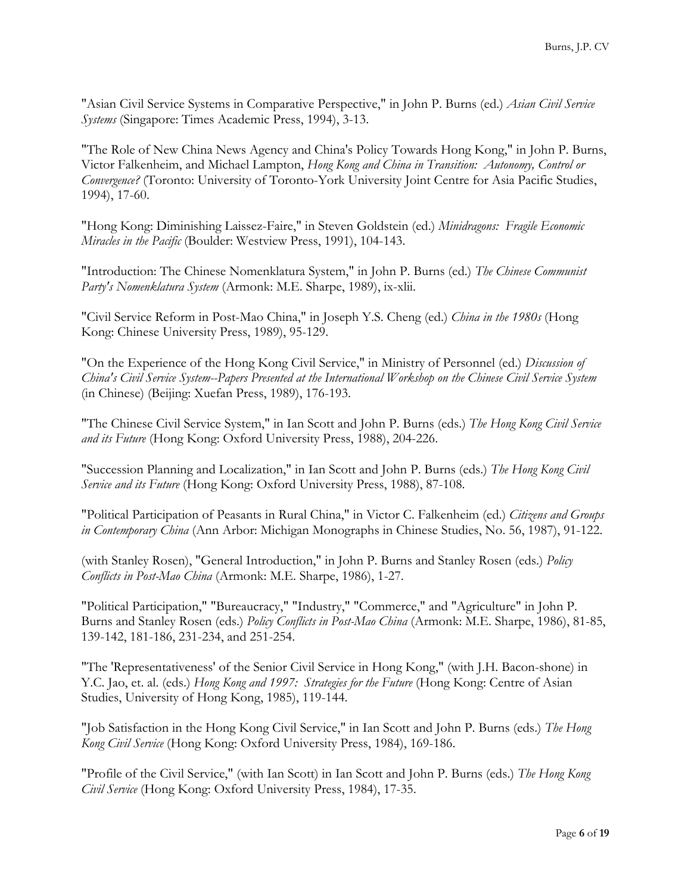"Asian Civil Service Systems in Comparative Perspective," in John P. Burns (ed.) *Asian Civil Service Systems* (Singapore: Times Academic Press, 1994), 3-13.

"The Role of New China News Agency and China's Policy Towards Hong Kong," in John P. Burns, Victor Falkenheim, and Michael Lampton, *Hong Kong and China in Transition: Autonomy, Control or Convergence?* (Toronto: University of Toronto-York University Joint Centre for Asia Pacific Studies, 1994), 17-60.

"Hong Kong: Diminishing Laissez-Faire," in Steven Goldstein (ed.) *Minidragons: Fragile Economic Miracles in the Pacific* (Boulder: Westview Press, 1991), 104-143.

"Introduction: The Chinese Nomenklatura System," in John P. Burns (ed.) *The Chinese Communist Party's Nomenklatura System* (Armonk: M.E. Sharpe, 1989), ix-xlii.

"Civil Service Reform in Post-Mao China," in Joseph Y.S. Cheng (ed.) *China in the 1980s* (Hong Kong: Chinese University Press, 1989), 95-129.

"On the Experience of the Hong Kong Civil Service," in Ministry of Personnel (ed.) *Discussion of China's Civil Service System--Papers Presented at the International Workshop on the Chinese Civil Service System* (in Chinese) (Beijing: Xuefan Press, 1989), 176-193.

"The Chinese Civil Service System," in Ian Scott and John P. Burns (eds.) *The Hong Kong Civil Service and its Future* (Hong Kong: Oxford University Press, 1988), 204-226.

"Succession Planning and Localization," in Ian Scott and John P. Burns (eds.) *The Hong Kong Civil Service and its Future* (Hong Kong: Oxford University Press, 1988), 87-108.

"Political Participation of Peasants in Rural China," in Victor C. Falkenheim (ed.) *Citizens and Groups in Contemporary China* (Ann Arbor: Michigan Monographs in Chinese Studies, No. 56, 1987), 91-122.

(with Stanley Rosen), "General Introduction," in John P. Burns and Stanley Rosen (eds.) *Policy Conflicts in Post-Mao China* (Armonk: M.E. Sharpe, 1986), 1-27.

"Political Participation," "Bureaucracy," "Industry," "Commerce," and "Agriculture" in John P. Burns and Stanley Rosen (eds.) *Policy Conflicts in Post-Mao China* (Armonk: M.E. Sharpe, 1986), 81-85, 139-142, 181-186, 231-234, and 251-254.

"The 'Representativeness' of the Senior Civil Service in Hong Kong," (with J.H. Bacon-shone) in Y.C. Jao, et. al. (eds.) *Hong Kong and 1997: Strategies for the Future* (Hong Kong: Centre of Asian Studies, University of Hong Kong, 1985), 119-144.

"Job Satisfaction in the Hong Kong Civil Service," in Ian Scott and John P. Burns (eds.) *The Hong Kong Civil Service* (Hong Kong: Oxford University Press, 1984), 169-186.

"Profile of the Civil Service," (with Ian Scott) in Ian Scott and John P. Burns (eds.) *The Hong Kong Civil Service* (Hong Kong: Oxford University Press, 1984), 17-35.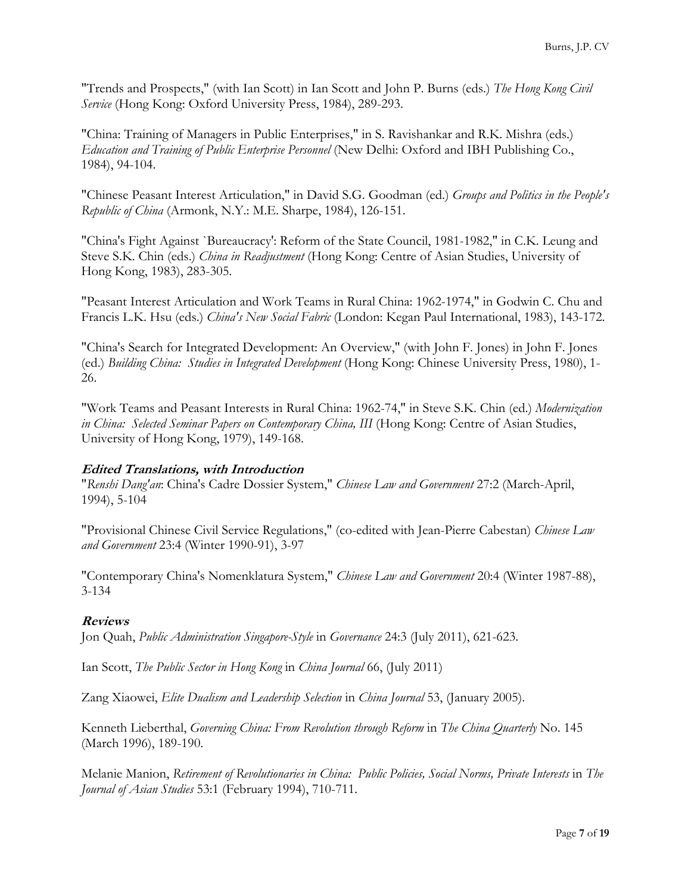"Trends and Prospects," (with Ian Scott) in Ian Scott and John P. Burns (eds.) *The Hong Kong Civil Service* (Hong Kong: Oxford University Press, 1984), 289-293.

"China: Training of Managers in Public Enterprises," in S. Ravishankar and R.K. Mishra (eds.) *Education and Training of Public Enterprise Personnel* (New Delhi: Oxford and IBH Publishing Co., 1984), 94-104.

"Chinese Peasant Interest Articulation," in David S.G. Goodman (ed.) *Groups and Politics in the People's Republic of China* (Armonk, N.Y.: M.E. Sharpe, 1984), 126-151.

"China's Fight Against `Bureaucracy': Reform of the State Council, 1981-1982," in C.K. Leung and Steve S.K. Chin (eds.) *China in Readjustment* (Hong Kong: Centre of Asian Studies, University of Hong Kong, 1983), 283-305.

"Peasant Interest Articulation and Work Teams in Rural China: 1962-1974," in Godwin C. Chu and Francis L.K. Hsu (eds.) *China's New Social Fabric* (London: Kegan Paul International, 1983), 143-172.

"China's Search for Integrated Development: An Overview," (with John F. Jones) in John F. Jones (ed.) *Building China: Studies in Integrated Development* (Hong Kong: Chinese University Press, 1980), 1- 26.

"Work Teams and Peasant Interests in Rural China: 1962-74," in Steve S.K. Chin (ed.) *Modernization in China: Selected Seminar Papers on Contemporary China, III* (Hong Kong: Centre of Asian Studies, University of Hong Kong, 1979), 149-168.

# **Edited Translations, with Introduction**

"*Renshi Dang'an*: China's Cadre Dossier System," *Chinese Law and Government* 27:2 (March-April, 1994), 5-104

"Provisional Chinese Civil Service Regulations," (co-edited with Jean-Pierre Cabestan) *Chinese Law and Government* 23:4 (Winter 1990-91), 3-97

"Contemporary China's Nomenklatura System," *Chinese Law and Government* 20:4 (Winter 1987-88), 3-134

# **Reviews**

Jon Quah, *Public Administration Singapore-Style* in *Governance* 24:3 (July 2011), 621-623.

Ian Scott, *The Public Sector in Hong Kong* in *China Journal* 66, (July 2011)

Zang Xiaowei, *Elite Dualism and Leadership Selection* in *China Journal* 53, (January 2005).

Kenneth Lieberthal, *Governing China: From Revolution through Reform* in *The China Quarterly* No. 145 (March 1996), 189-190.

Melanie Manion, *Retirement of Revolutionaries in China: Public Policies, Social Norms, Private Interests* in *The Journal of Asian Studies* 53:1 (February 1994), 710-711.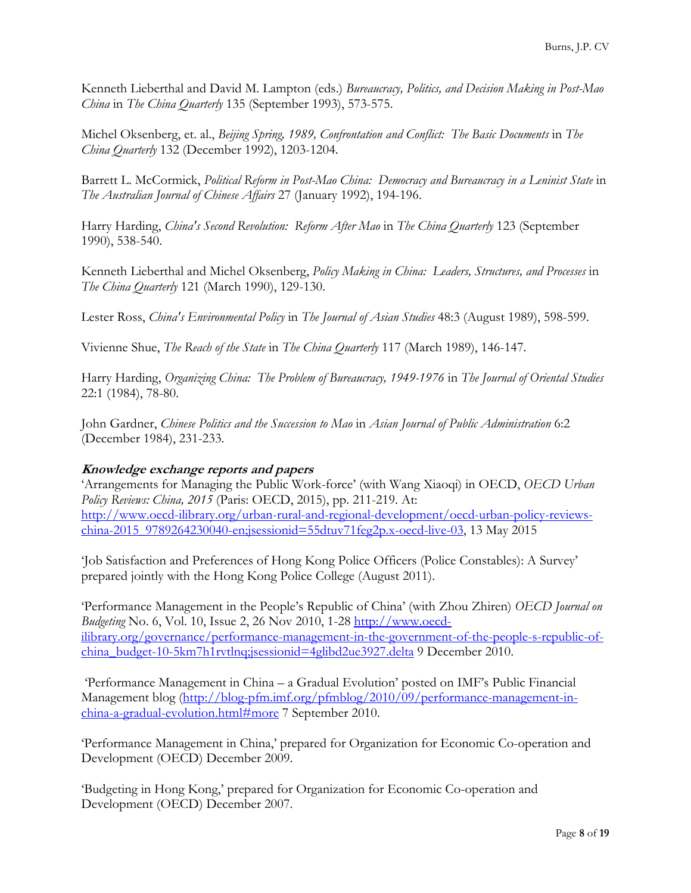Kenneth Lieberthal and David M. Lampton (eds.) *Bureaucracy, Politics, and Decision Making in Post-Mao China* in *The China Quarterly* 135 (September 1993), 573-575.

Michel Oksenberg, et. al., *Beijing Spring, 1989, Confrontation and Conflict: The Basic Documents* in *The China Quarterly* 132 (December 1992), 1203-1204.

Barrett L. McCormick, *Political Reform in Post-Mao China: Democracy and Bureaucracy in a Leninist State* in *The Australian Journal of Chinese Affairs* 27 (January 1992), 194-196.

Harry Harding, *China's Second Revolution: Reform After Mao* in *The China Quarterly* 123 (September 1990), 538-540.

Kenneth Lieberthal and Michel Oksenberg, *Policy Making in China: Leaders, Structures, and Processes* in *The China Quarterly* 121 (March 1990), 129-130.

Lester Ross, *China's Environmental Policy* in *The Journal of Asian Studies* 48:3 (August 1989), 598-599.

Vivienne Shue, *The Reach of the State* in *The China Quarterly* 117 (March 1989), 146-147.

Harry Harding, *Organizing China: The Problem of Bureaucracy, 1949-1976* in *The Journal of Oriental Studies* 22:1 (1984), 78-80.

John Gardner, *Chinese Politics and the Succession to Mao* in *Asian Journal of Public Administration* 6:2 (December 1984), 231-233.

# **Knowledge exchange reports and papers**

'Arrangements for Managing the Public Work-force' (with Wang Xiaoqi) in OECD, *OECD Urban Policy Reviews: China, 2015* (Paris: OECD, 2015), pp. 211-219. At: http://www.oecd-ilibrary.org/urban-rural-and-regional-development/oecd-urban-policy-reviewschina-2015\_9789264230040-en;jsessionid=55dtuv71feg2p.x-oecd-live-03, 13 May 2015

'Job Satisfaction and Preferences of Hong Kong Police Officers (Police Constables): A Survey' prepared jointly with the Hong Kong Police College (August 2011).

'Performance Management in the People's Republic of China' (with Zhou Zhiren) *OECD Journal on Budgeting* No. 6, Vol. 10, Issue 2, 26 Nov 2010, 1-28 http://www.oecdilibrary.org/governance/performance-management-in-the-government-of-the-people-s-republic-ofchina\_budget-10-5km7h1rvtlnq;jsessionid=4glibd2ue3927.delta 9 December 2010.

 'Performance Management in China – a Gradual Evolution' posted on IMF's Public Financial Management blog (http://blog-pfm.imf.org/pfmblog/2010/09/performance-management-inchina-a-gradual-evolution.html#more 7 September 2010.

'Performance Management in China,' prepared for Organization for Economic Co-operation and Development (OECD) December 2009.

'Budgeting in Hong Kong,' prepared for Organization for Economic Co-operation and Development (OECD) December 2007.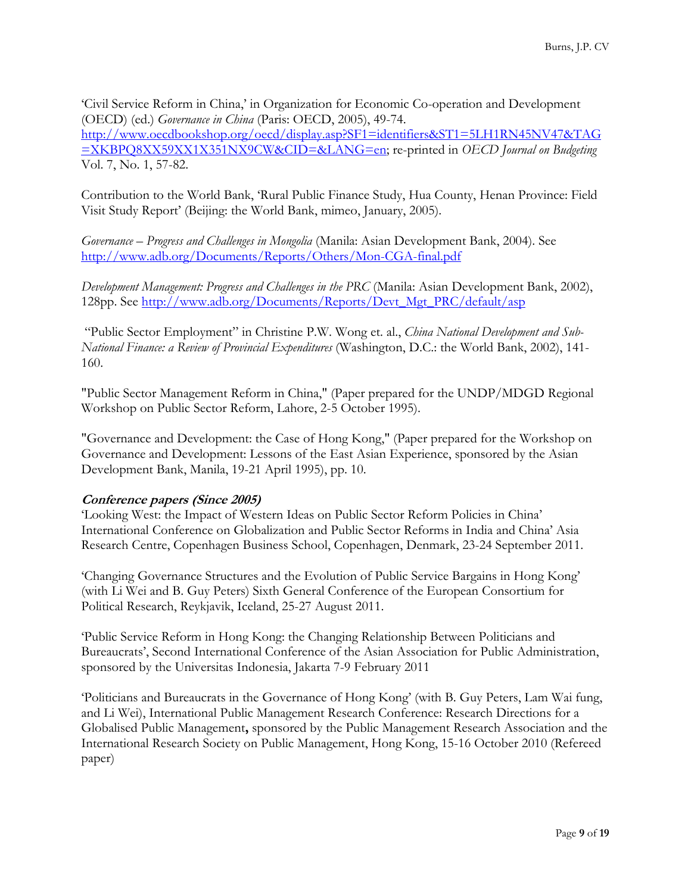'Civil Service Reform in China,' in Organization for Economic Co-operation and Development (OECD) (ed.) *Governance in China* (Paris: OECD, 2005), 49-74. http://www.oecdbookshop.org/oecd/display.asp?SF1=identifiers&ST1=5LH1RN45NV47&TAG =XKBPQ8XX59XX1X351NX9CW&CID=&LANG=en; re-printed in *OECD Journal on Budgeting*  Vol. 7, No. 1, 57-82.

Contribution to the World Bank, 'Rural Public Finance Study, Hua County, Henan Province: Field Visit Study Report' (Beijing: the World Bank, mimeo, January, 2005).

*Governance – Progress and Challenges in Mongolia* (Manila: Asian Development Bank, 2004). See http://www.adb.org/Documents/Reports/Others/Mon-CGA-final.pdf

*Development Management: Progress and Challenges in the PRC* (Manila: Asian Development Bank, 2002), 128pp. See http://www.adb.org/Documents/Reports/Devt\_Mgt\_PRC/default/asp

 "Public Sector Employment" in Christine P.W. Wong et. al., *China National Development and Sub-National Finance: a Review of Provincial Expenditures* (Washington, D.C.: the World Bank, 2002), 141- 160.

"Public Sector Management Reform in China," (Paper prepared for the UNDP/MDGD Regional Workshop on Public Sector Reform, Lahore, 2-5 October 1995).

"Governance and Development: the Case of Hong Kong," (Paper prepared for the Workshop on Governance and Development: Lessons of the East Asian Experience, sponsored by the Asian Development Bank, Manila, 19-21 April 1995), pp. 10.

#### **Conference papers (Since 2005)**

'Looking West: the Impact of Western Ideas on Public Sector Reform Policies in China' International Conference on Globalization and Public Sector Reforms in India and China' Asia Research Centre, Copenhagen Business School, Copenhagen, Denmark, 23-24 September 2011.

'Changing Governance Structures and the Evolution of Public Service Bargains in Hong Kong' (with Li Wei and B. Guy Peters) Sixth General Conference of the European Consortium for Political Research, Reykjavik, Iceland, 25-27 August 2011.

'Public Service Reform in Hong Kong: the Changing Relationship Between Politicians and Bureaucrats', Second International Conference of the Asian Association for Public Administration, sponsored by the Universitas Indonesia, Jakarta 7-9 February 2011

'Politicians and Bureaucrats in the Governance of Hong Kong' (with B. Guy Peters, Lam Wai fung, and Li Wei), International Public Management Research Conference: Research Directions for a Globalised Public Management**,** sponsored by the Public Management Research Association and the International Research Society on Public Management, Hong Kong, 15-16 October 2010 (Refereed paper)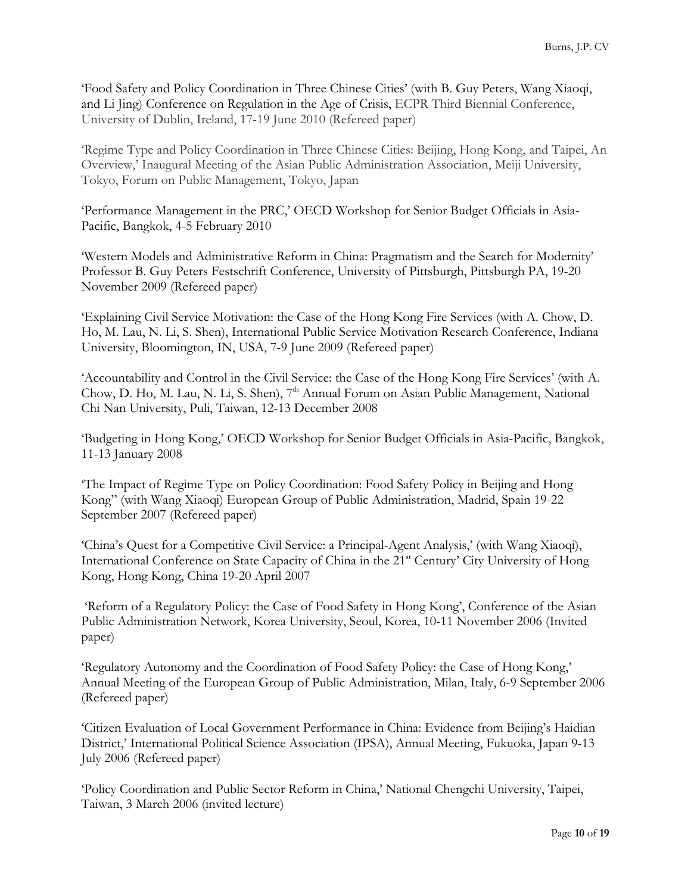'Food Safety and Policy Coordination in Three Chinese Cities' (with B. Guy Peters, Wang Xiaoqi, and Li Jing) Conference on Regulation in the Age of Crisis, ECPR Third Biennial Conference, University of Dublin, Ireland, 17-19 June 2010 (Refereed paper)

'Regime Type and Policy Coordination in Three Chinese Cities: Beijing, Hong Kong, and Taipei, An Overview,' Inaugural Meeting of the Asian Public Administration Association, Meiji University, Tokyo, Forum on Public Management, Tokyo, Japan

'Performance Management in the PRC,' OECD Workshop for Senior Budget Officials in Asia-Pacific, Bangkok, 4-5 February 2010

'Western Models and Administrative Reform in China: Pragmatism and the Search for Modernity' Professor B. Guy Peters Festschrift Conference, University of Pittsburgh, Pittsburgh PA, 19-20 November 2009 (Refereed paper)

'Explaining Civil Service Motivation: the Case of the Hong Kong Fire Services (with A. Chow, D. Ho, M. Lau, N. Li, S. Shen), International Public Service Motivation Research Conference, Indiana University, Bloomington, IN, USA, 7-9 June 2009 (Refereed paper)

'Accountability and Control in the Civil Service: the Case of the Hong Kong Fire Services' (with A. Chow, D. Ho, M. Lau, N. Li, S. Shen), 7<sup>th</sup> Annual Forum on Asian Public Management, National Chi Nan University, Puli, Taiwan, 12-13 December 2008

'Budgeting in Hong Kong,' OECD Workshop for Senior Budget Officials in Asia-Pacific, Bangkok, 11-13 January 2008

'The Impact of Regime Type on Policy Coordination: Food Safety Policy in Beijing and Hong Kong" (with Wang Xiaoqi) European Group of Public Administration, Madrid, Spain 19-22 September 2007 (Refereed paper)

'China's Quest for a Competitive Civil Service: a Principal-Agent Analysis,' (with Wang Xiaoqi), International Conference on State Capacity of China in the 21<sup>st</sup> Century' City University of Hong Kong, Hong Kong, China 19-20 April 2007

 'Reform of a Regulatory Policy: the Case of Food Safety in Hong Kong', Conference of the Asian Public Administration Network, Korea University, Seoul, Korea, 10-11 November 2006 (Invited paper)

'Regulatory Autonomy and the Coordination of Food Safety Policy: the Case of Hong Kong,' Annual Meeting of the European Group of Public Administration, Milan, Italy, 6-9 September 2006 (Refereed paper)

'Citizen Evaluation of Local Government Performance in China: Evidence from Beijing's Haidian District,' International Political Science Association (IPSA), Annual Meeting, Fukuoka, Japan 9-13 July 2006 (Refereed paper)

'Policy Coordination and Public Sector Reform in China,' National Chengchi University, Taipei, Taiwan, 3 March 2006 (invited lecture)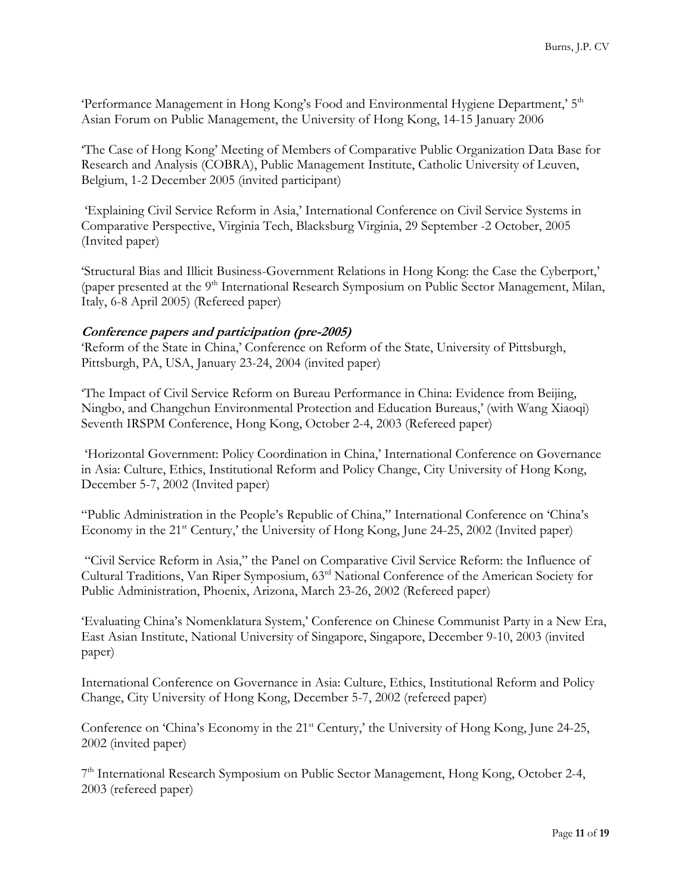'Performance Management in Hong Kong's Food and Environmental Hygiene Department,' 5<sup>th</sup> Asian Forum on Public Management, the University of Hong Kong, 14-15 January 2006

'The Case of Hong Kong' Meeting of Members of Comparative Public Organization Data Base for Research and Analysis (COBRA), Public Management Institute, Catholic University of Leuven, Belgium, 1-2 December 2005 (invited participant)

 'Explaining Civil Service Reform in Asia,' International Conference on Civil Service Systems in Comparative Perspective, Virginia Tech, Blacksburg Virginia, 29 September -2 October, 2005 (Invited paper)

'Structural Bias and Illicit Business-Government Relations in Hong Kong: the Case the Cyberport,' (paper presented at the 9<sup>th</sup> International Research Symposium on Public Sector Management, Milan, Italy, 6-8 April 2005) (Refereed paper)

#### **Conference papers and participation (pre-2005)**

'Reform of the State in China,' Conference on Reform of the State, University of Pittsburgh, Pittsburgh, PA, USA, January 23-24, 2004 (invited paper)

'The Impact of Civil Service Reform on Bureau Performance in China: Evidence from Beijing, Ningbo, and Changchun Environmental Protection and Education Bureaus,' (with Wang Xiaoqi) Seventh IRSPM Conference, Hong Kong, October 2-4, 2003 (Refereed paper)

 'Horizontal Government: Policy Coordination in China,' International Conference on Governance in Asia: Culture, Ethics, Institutional Reform and Policy Change, City University of Hong Kong, December 5-7, 2002 (Invited paper)

"Public Administration in the People's Republic of China," International Conference on 'China's Economy in the 21<sup>st</sup> Century,' the University of Hong Kong, June 24-25, 2002 (Invited paper)

 "Civil Service Reform in Asia," the Panel on Comparative Civil Service Reform: the Influence of Cultural Traditions, Van Riper Symposium, 63rd National Conference of the American Society for Public Administration, Phoenix, Arizona, March 23-26, 2002 (Refereed paper)

'Evaluating China's Nomenklatura System,' Conference on Chinese Communist Party in a New Era, East Asian Institute, National University of Singapore, Singapore, December 9-10, 2003 (invited paper)

International Conference on Governance in Asia: Culture, Ethics, Institutional Reform and Policy Change, City University of Hong Kong, December 5-7, 2002 (refereed paper)

Conference on 'China's Economy in the 21<sup>st</sup> Century,' the University of Hong Kong, June 24-25, 2002 (invited paper)

7<sup>th</sup> International Research Symposium on Public Sector Management, Hong Kong, October 2-4, 2003 (refereed paper)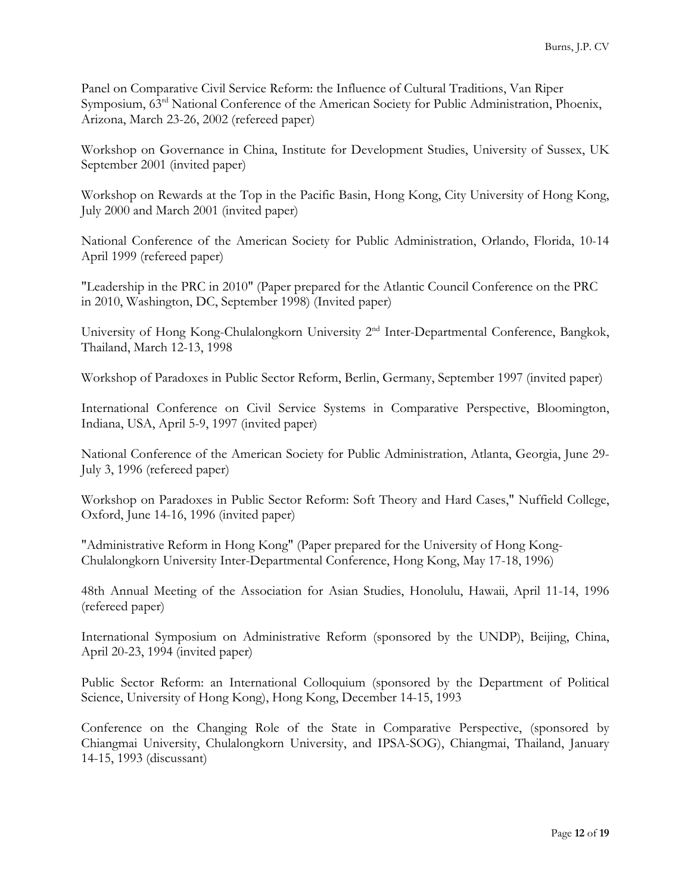Panel on Comparative Civil Service Reform: the Influence of Cultural Traditions, Van Riper Symposium, 63<sup>rd</sup> National Conference of the American Society for Public Administration, Phoenix, Arizona, March 23-26, 2002 (refereed paper)

Workshop on Governance in China, Institute for Development Studies, University of Sussex, UK September 2001 (invited paper)

Workshop on Rewards at the Top in the Pacific Basin, Hong Kong, City University of Hong Kong, July 2000 and March 2001 (invited paper)

National Conference of the American Society for Public Administration, Orlando, Florida, 10-14 April 1999 (refereed paper)

"Leadership in the PRC in 2010" (Paper prepared for the Atlantic Council Conference on the PRC in 2010, Washington, DC, September 1998) (Invited paper)

University of Hong Kong-Chulalongkorn University 2<sup>nd</sup> Inter-Departmental Conference, Bangkok, Thailand, March 12-13, 1998

Workshop of Paradoxes in Public Sector Reform, Berlin, Germany, September 1997 (invited paper)

International Conference on Civil Service Systems in Comparative Perspective, Bloomington, Indiana, USA, April 5-9, 1997 (invited paper)

National Conference of the American Society for Public Administration, Atlanta, Georgia, June 29- July 3, 1996 (refereed paper)

Workshop on Paradoxes in Public Sector Reform: Soft Theory and Hard Cases," Nuffield College, Oxford, June 14-16, 1996 (invited paper)

"Administrative Reform in Hong Kong" (Paper prepared for the University of Hong Kong-Chulalongkorn University Inter-Departmental Conference, Hong Kong, May 17-18, 1996)

48th Annual Meeting of the Association for Asian Studies, Honolulu, Hawaii, April 11-14, 1996 (refereed paper)

International Symposium on Administrative Reform (sponsored by the UNDP), Beijing, China, April 20-23, 1994 (invited paper)

Public Sector Reform: an International Colloquium (sponsored by the Department of Political Science, University of Hong Kong), Hong Kong, December 14-15, 1993

Conference on the Changing Role of the State in Comparative Perspective, (sponsored by Chiangmai University, Chulalongkorn University, and IPSA-SOG), Chiangmai, Thailand, January 14-15, 1993 (discussant)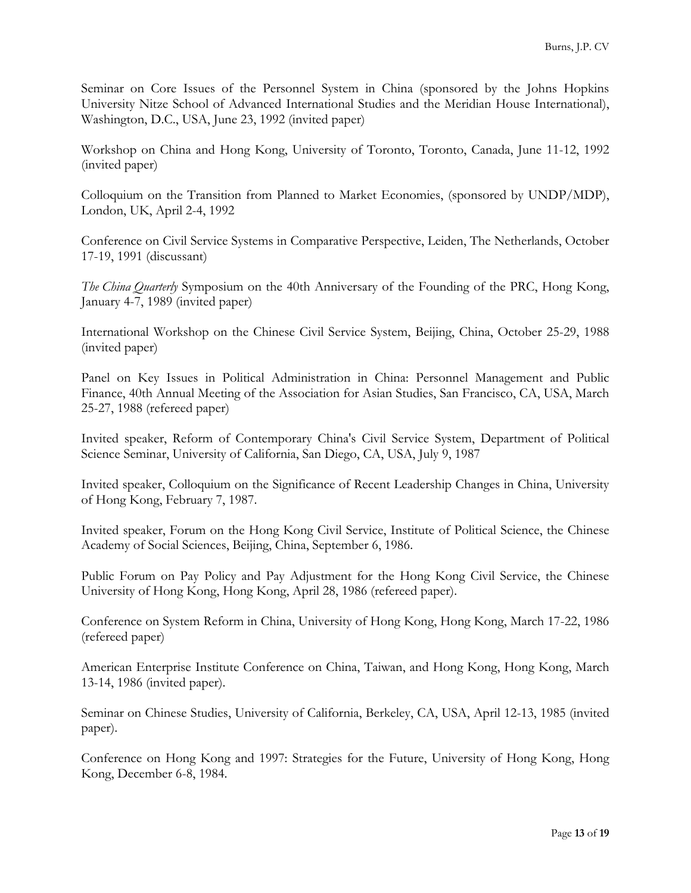Seminar on Core Issues of the Personnel System in China (sponsored by the Johns Hopkins University Nitze School of Advanced International Studies and the Meridian House International), Washington, D.C., USA, June 23, 1992 (invited paper)

Workshop on China and Hong Kong, University of Toronto, Toronto, Canada, June 11-12, 1992 (invited paper)

Colloquium on the Transition from Planned to Market Economies, (sponsored by UNDP/MDP), London, UK, April 2-4, 1992

Conference on Civil Service Systems in Comparative Perspective, Leiden, The Netherlands, October 17-19, 1991 (discussant)

*The China Quarterly* Symposium on the 40th Anniversary of the Founding of the PRC, Hong Kong, January 4-7, 1989 (invited paper)

International Workshop on the Chinese Civil Service System, Beijing, China, October 25-29, 1988 (invited paper)

Panel on Key Issues in Political Administration in China: Personnel Management and Public Finance, 40th Annual Meeting of the Association for Asian Studies, San Francisco, CA, USA, March 25-27, 1988 (refereed paper)

Invited speaker, Reform of Contemporary China's Civil Service System, Department of Political Science Seminar, University of California, San Diego, CA, USA, July 9, 1987

Invited speaker, Colloquium on the Significance of Recent Leadership Changes in China, University of Hong Kong, February 7, 1987.

Invited speaker, Forum on the Hong Kong Civil Service, Institute of Political Science, the Chinese Academy of Social Sciences, Beijing, China, September 6, 1986.

Public Forum on Pay Policy and Pay Adjustment for the Hong Kong Civil Service, the Chinese University of Hong Kong, Hong Kong, April 28, 1986 (refereed paper).

Conference on System Reform in China, University of Hong Kong, Hong Kong, March 17-22, 1986 (refereed paper)

American Enterprise Institute Conference on China, Taiwan, and Hong Kong, Hong Kong, March 13-14, 1986 (invited paper).

Seminar on Chinese Studies, University of California, Berkeley, CA, USA, April 12-13, 1985 (invited paper).

Conference on Hong Kong and 1997: Strategies for the Future, University of Hong Kong, Hong Kong, December 6-8, 1984.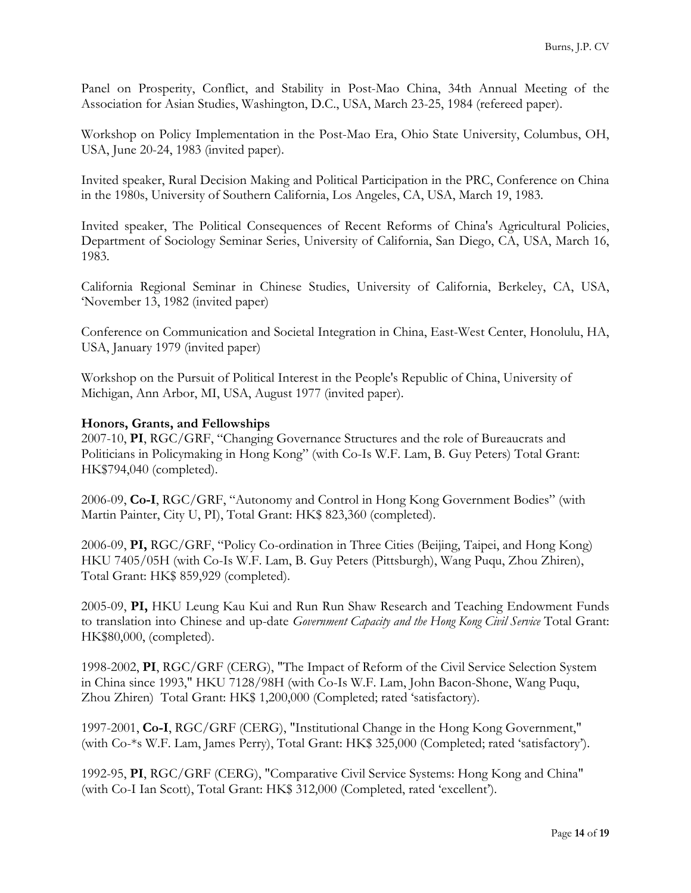Panel on Prosperity, Conflict, and Stability in Post-Mao China, 34th Annual Meeting of the Association for Asian Studies, Washington, D.C., USA, March 23-25, 1984 (refereed paper).

Workshop on Policy Implementation in the Post-Mao Era, Ohio State University, Columbus, OH, USA, June 20-24, 1983 (invited paper).

Invited speaker, Rural Decision Making and Political Participation in the PRC, Conference on China in the 1980s, University of Southern California, Los Angeles, CA, USA, March 19, 1983.

Invited speaker, The Political Consequences of Recent Reforms of China's Agricultural Policies, Department of Sociology Seminar Series, University of California, San Diego, CA, USA, March 16, 1983.

California Regional Seminar in Chinese Studies, University of California, Berkeley, CA, USA, 'November 13, 1982 (invited paper)

Conference on Communication and Societal Integration in China, East-West Center, Honolulu, HA, USA, January 1979 (invited paper)

Workshop on the Pursuit of Political Interest in the People's Republic of China, University of Michigan, Ann Arbor, MI, USA, August 1977 (invited paper).

#### **Honors, Grants, and Fellowships**

2007-10, **PI**, RGC/GRF, "Changing Governance Structures and the role of Bureaucrats and Politicians in Policymaking in Hong Kong" (with Co-Is W.F. Lam, B. Guy Peters) Total Grant: HK\$794,040 (completed).

2006-09, **Co-I**, RGC/GRF, "Autonomy and Control in Hong Kong Government Bodies" (with Martin Painter, City U, PI), Total Grant: HK\$ 823,360 (completed).

2006-09, **PI,** RGC/GRF, "Policy Co-ordination in Three Cities (Beijing, Taipei, and Hong Kong) HKU 7405/05H (with Co-Is W.F. Lam, B. Guy Peters (Pittsburgh), Wang Puqu, Zhou Zhiren), Total Grant: HK\$ 859,929 (completed).

2005-09, **PI,** HKU Leung Kau Kui and Run Run Shaw Research and Teaching Endowment Funds to translation into Chinese and up-date *Government Capacity and the Hong Kong Civil Service* Total Grant: HK\$80,000, (completed).

1998-2002, **PI**, RGC/GRF (CERG), "The Impact of Reform of the Civil Service Selection System in China since 1993," HKU 7128/98H (with Co-Is W.F. Lam, John Bacon-Shone, Wang Puqu, Zhou Zhiren) Total Grant: HK\$ 1,200,000 (Completed; rated 'satisfactory).

1997-2001, **Co-I**, RGC/GRF (CERG), "Institutional Change in the Hong Kong Government," (with Co-\*s W.F. Lam, James Perry), Total Grant: HK\$ 325,000 (Completed; rated 'satisfactory').

1992-95, **PI**, RGC/GRF (CERG), "Comparative Civil Service Systems: Hong Kong and China" (with Co-I Ian Scott), Total Grant: HK\$ 312,000 (Completed, rated 'excellent').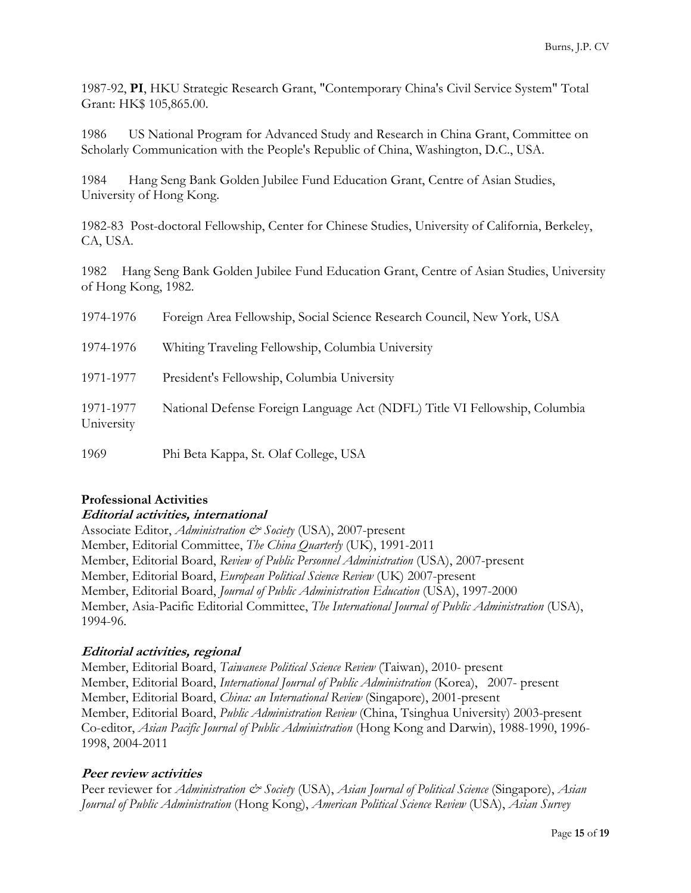1987-92, **PI**, HKU Strategic Research Grant, "Contemporary China's Civil Service System" Total Grant: HK\$ 105,865.00.

1986 US National Program for Advanced Study and Research in China Grant, Committee on Scholarly Communication with the People's Republic of China, Washington, D.C., USA.

1984 Hang Seng Bank Golden Jubilee Fund Education Grant, Centre of Asian Studies, University of Hong Kong.

1982-83 Post-doctoral Fellowship, Center for Chinese Studies, University of California, Berkeley, CA, USA.

1982 Hang Seng Bank Golden Jubilee Fund Education Grant, Centre of Asian Studies, University of Hong Kong, 1982.

| 1974-1976               | Foreign Area Fellowship, Social Science Research Council, New York, USA    |
|-------------------------|----------------------------------------------------------------------------|
| 1974-1976               | Whiting Traveling Fellowship, Columbia University                          |
| 1971-1977               | President's Fellowship, Columbia University                                |
| 1971-1977<br>University | National Defense Foreign Language Act (NDFL) Title VI Fellowship, Columbia |
| 1969                    | Phi Beta Kappa, St. Olaf College, USA                                      |

### **Professional Activities Editorial activities, international**

Associate Editor, *Administration & Society* (USA), 2007-present Member, Editorial Committee, *The China Quarterly* (UK), 1991-2011 Member, Editorial Board, *Review of Public Personnel Administration* (USA), 2007-present Member, Editorial Board, *European Political Science Review* (UK) 2007-present Member, Editorial Board, *Journal of Public Administration Education* (USA), 1997-2000 Member, Asia-Pacific Editorial Committee, *The International Journal of Public Administration* (USA), 1994-96.

# **Editorial activities, regional**

Member, Editorial Board, *Taiwanese Political Science Review* (Taiwan), 2010- present Member, Editorial Board, *International Journal of Public Administration* (Korea), 2007- present Member, Editorial Board, *China: an International Review* (Singapore), 2001-present Member, Editorial Board, *Public Administration Review* (China, Tsinghua University) 2003-present Co-editor, *Asian Pacific Journal of Public Administration* (Hong Kong and Darwin), 1988-1990, 1996- 1998, 2004-2011

# **Peer review activities**

Peer reviewer for *Administration & Society* (USA), *Asian Journal of Political Science* (Singapore), *Asian Journal of Public Administration* (Hong Kong), *American Political Science Review* (USA), *Asian Survey*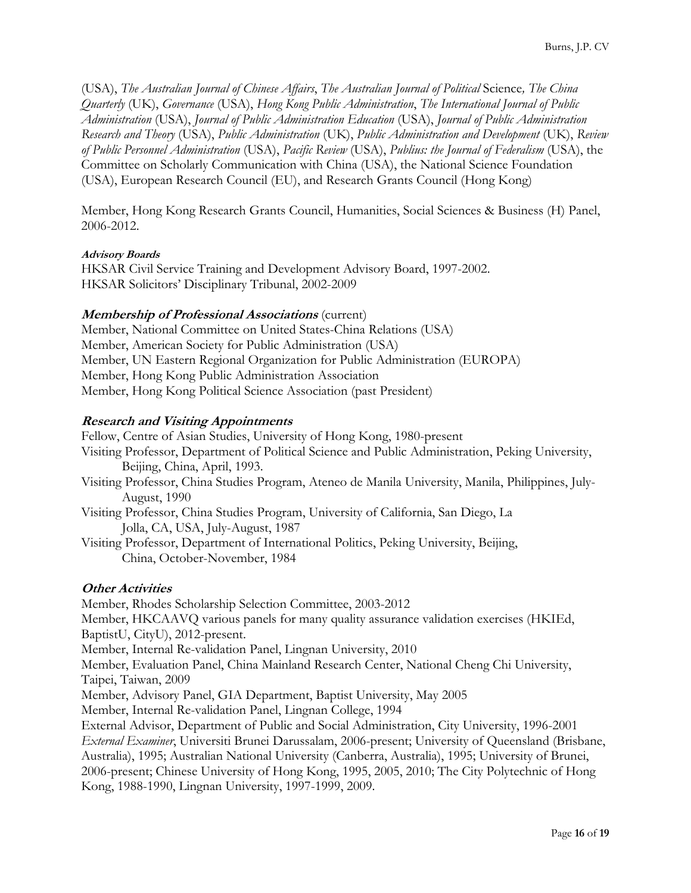(USA), *The Australian Journal of Chinese Affairs*, *The Australian Journal of Political* Science*, The China Quarterly* (UK), *Governance* (USA), *Hong Kong Public Administration*, *The International Journal of Public Administration* (USA), *Journal of Public Administration Education* (USA), *Journal of Public Administration Research and Theory* (USA), *Public Administration* (UK), *Public Administration and Development* (UK), *Review of Public Personnel Administration* (USA), *Pacific Review* (USA), *Publius: the Journal of Federalism* (USA), the Committee on Scholarly Communication with China (USA), the National Science Foundation (USA), European Research Council (EU), and Research Grants Council (Hong Kong)

Member, Hong Kong Research Grants Council, Humanities, Social Sciences & Business (H) Panel, 2006-2012.

#### **Advisory Boards**

HKSAR Civil Service Training and Development Advisory Board, 1997-2002. HKSAR Solicitors' Disciplinary Tribunal, 2002-2009

# **Membership of Professional Associations** (current)

Member, National Committee on United States-China Relations (USA) Member, American Society for Public Administration (USA) Member, UN Eastern Regional Organization for Public Administration (EUROPA) Member, Hong Kong Public Administration Association Member, Hong Kong Political Science Association (past President)

### **Research and Visiting Appointments**

Fellow, Centre of Asian Studies, University of Hong Kong, 1980-present Visiting Professor, Department of Political Science and Public Administration, Peking University, Beijing, China, April, 1993. Visiting Professor, China Studies Program, Ateneo de Manila University, Manila, Philippines, July- August, 1990 Visiting Professor, China Studies Program, University of California, San Diego, La Jolla, CA, USA, July-August, 1987 Visiting Professor, Department of International Politics, Peking University, Beijing, China, October-November, 1984

#### **Other Activities**

Member, Rhodes Scholarship Selection Committee, 2003-2012 Member, HKCAAVQ various panels for many quality assurance validation exercises (HKIEd, BaptistU, CityU), 2012-present. Member, Internal Re-validation Panel, Lingnan University, 2010 Member, Evaluation Panel, China Mainland Research Center, National Cheng Chi University, Taipei, Taiwan, 2009 Member, Advisory Panel, GIA Department, Baptist University, May 2005 Member, Internal Re-validation Panel, Lingnan College, 1994 External Advisor, Department of Public and Social Administration, City University, 1996-2001 *External Examiner*, Universiti Brunei Darussalam, 2006-present; University of Queensland (Brisbane, Australia), 1995; Australian National University (Canberra, Australia), 1995; University of Brunei, 2006-present; Chinese University of Hong Kong, 1995, 2005, 2010; The City Polytechnic of Hong Kong, 1988-1990, Lingnan University, 1997-1999, 2009.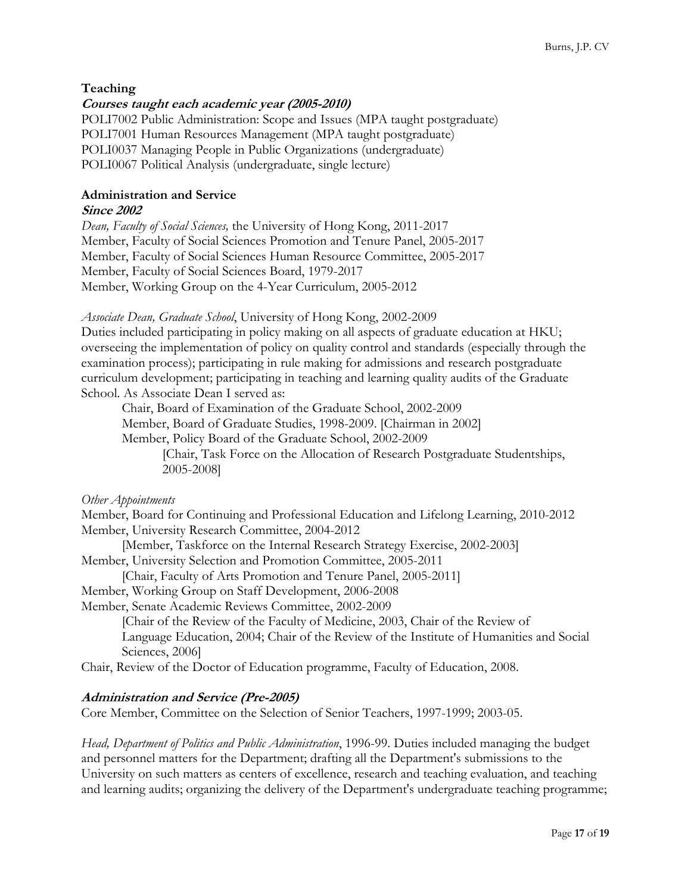# **Teaching**

# **Courses taught each academic year (2005-2010)**

POLI7002 Public Administration: Scope and Issues (MPA taught postgraduate) POLI7001 Human Resources Management (MPA taught postgraduate) POLI0037 Managing People in Public Organizations (undergraduate) POLI0067 Political Analysis (undergraduate, single lecture)

# **Administration and Service**

# **Since 2002**

*Dean, Faculty of Social Sciences,* the University of Hong Kong, 2011-2017 Member, Faculty of Social Sciences Promotion and Tenure Panel, 2005-2017 Member, Faculty of Social Sciences Human Resource Committee, 2005-2017 Member, Faculty of Social Sciences Board, 1979-2017 Member, Working Group on the 4-Year Curriculum, 2005-2012

*Associate Dean, Graduate School*, University of Hong Kong, 2002-2009

Duties included participating in policy making on all aspects of graduate education at HKU; overseeing the implementation of policy on quality control and standards (especially through the examination process); participating in rule making for admissions and research postgraduate curriculum development; participating in teaching and learning quality audits of the Graduate School. As Associate Dean I served as:

Chair, Board of Examination of the Graduate School, 2002-2009 Member, Board of Graduate Studies, 1998-2009. [Chairman in 2002] Member, Policy Board of the Graduate School, 2002-2009

> [Chair, Task Force on the Allocation of Research Postgraduate Studentships, 2005-2008]

*Other Appointments* 

Member, Board for Continuing and Professional Education and Lifelong Learning, 2010-2012 Member, University Research Committee, 2004-2012

 [Member, Taskforce on the Internal Research Strategy Exercise, 2002-2003] Member, University Selection and Promotion Committee, 2005-2011

[Chair, Faculty of Arts Promotion and Tenure Panel, 2005-2011]

Member, Working Group on Staff Development, 2006-2008

Member, Senate Academic Reviews Committee, 2002-2009

[Chair of the Review of the Faculty of Medicine, 2003, Chair of the Review of Language Education, 2004; Chair of the Review of the Institute of Humanities and Social Sciences, 2006]

Chair, Review of the Doctor of Education programme, Faculty of Education, 2008.

# **Administration and Service (Pre-2005)**

Core Member, Committee on the Selection of Senior Teachers, 1997-1999; 2003-05.

*Head, Department of Politics and Public Administration*, 1996-99. Duties included managing the budget and personnel matters for the Department; drafting all the Department's submissions to the University on such matters as centers of excellence, research and teaching evaluation, and teaching and learning audits; organizing the delivery of the Department's undergraduate teaching programme;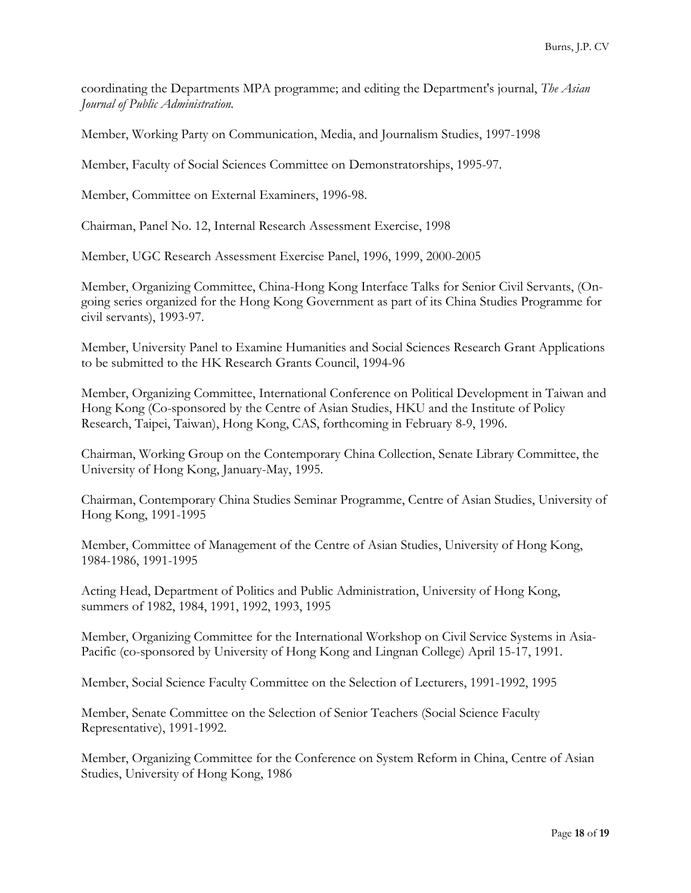coordinating the Departments MPA programme; and editing the Department's journal, *The Asian Journal of Public Administration.*

Member, Working Party on Communication, Media, and Journalism Studies, 1997-1998

Member, Faculty of Social Sciences Committee on Demonstratorships, 1995-97.

Member, Committee on External Examiners, 1996-98.

Chairman, Panel No. 12, Internal Research Assessment Exercise, 1998

Member, UGC Research Assessment Exercise Panel, 1996, 1999, 2000-2005

Member, Organizing Committee, China-Hong Kong Interface Talks for Senior Civil Servants, (Ongoing series organized for the Hong Kong Government as part of its China Studies Programme for civil servants), 1993-97.

Member, University Panel to Examine Humanities and Social Sciences Research Grant Applications to be submitted to the HK Research Grants Council, 1994-96

Member, Organizing Committee, International Conference on Political Development in Taiwan and Hong Kong (Co-sponsored by the Centre of Asian Studies, HKU and the Institute of Policy Research, Taipei, Taiwan), Hong Kong, CAS, forthcoming in February 8-9, 1996.

Chairman, Working Group on the Contemporary China Collection, Senate Library Committee, the University of Hong Kong, January-May, 1995.

Chairman, Contemporary China Studies Seminar Programme, Centre of Asian Studies, University of Hong Kong, 1991-1995

Member, Committee of Management of the Centre of Asian Studies, University of Hong Kong, 1984-1986, 1991-1995

Acting Head, Department of Politics and Public Administration, University of Hong Kong, summers of 1982, 1984, 1991, 1992, 1993, 1995

Member, Organizing Committee for the International Workshop on Civil Service Systems in Asia-Pacific (co-sponsored by University of Hong Kong and Lingnan College) April 15-17, 1991.

Member, Social Science Faculty Committee on the Selection of Lecturers, 1991-1992, 1995

Member, Senate Committee on the Selection of Senior Teachers (Social Science Faculty Representative), 1991-1992.

Member, Organizing Committee for the Conference on System Reform in China, Centre of Asian Studies, University of Hong Kong, 1986